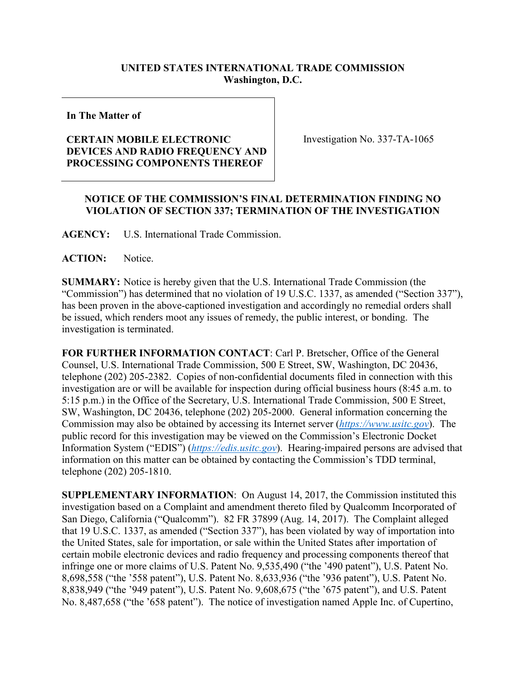## **UNITED STATES INTERNATIONAL TRADE COMMISSION Washington, D.C.**

**In The Matter of**

## **CERTAIN MOBILE ELECTRONIC DEVICES AND RADIO FREQUENCY AND PROCESSING COMPONENTS THEREOF**

Investigation No. 337-TA-1065

## **NOTICE OF THE COMMISSION'S FINAL DETERMINATION FINDING NO VIOLATION OF SECTION 337; TERMINATION OF THE INVESTIGATION**

**AGENCY:** U.S. International Trade Commission.

**ACTION:** Notice.

**SUMMARY:** Notice is hereby given that the U.S. International Trade Commission (the "Commission") has determined that no violation of 19 U.S.C. 1337, as amended ("Section 337"), has been proven in the above-captioned investigation and accordingly no remedial orders shall be issued, which renders moot any issues of remedy, the public interest, or bonding. The investigation is terminated.

**FOR FURTHER INFORMATION CONTACT**: Carl P. Bretscher, Office of the General Counsel, U.S. International Trade Commission, 500 E Street, SW, Washington, DC 20436, telephone (202) 205-2382. Copies of non-confidential documents filed in connection with this investigation are or will be available for inspection during official business hours (8:45 a.m. to 5:15 p.m.) in the Office of the Secretary, U.S. International Trade Commission, 500 E Street, SW, Washington, DC 20436, telephone (202) 205-2000. General information concerning the Commission may also be obtained by accessing its Internet server (*[https://www.usitc.gov](https://www.usitc.gov/)*). The public record for this investigation may be viewed on the Commission's Electronic Docket Information System ("EDIS") (*[https://edis.usitc.gov](https://edis.usitc.gov/)*). Hearing-impaired persons are advised that information on this matter can be obtained by contacting the Commission's TDD terminal, telephone (202) 205-1810.

**SUPPLEMENTARY INFORMATION**: On August 14, 2017, the Commission instituted this investigation based on a Complaint and amendment thereto filed by Qualcomm Incorporated of San Diego, California ("Qualcomm"). 82 FR 37899 (Aug. 14, 2017). The Complaint alleged that 19 U.S.C. 1337, as amended ("Section 337"), has been violated by way of importation into the United States, sale for importation, or sale within the United States after importation of certain mobile electronic devices and radio frequency and processing components thereof that infringe one or more claims of U.S. Patent No. 9,535,490 ("the '490 patent"), U.S. Patent No. 8,698,558 ("the '558 patent"), U.S. Patent No. 8,633,936 ("the '936 patent"), U.S. Patent No. 8,838,949 ("the '949 patent"), U.S. Patent No. 9,608,675 ("the '675 patent"), and U.S. Patent No. 8,487,658 ("the '658 patent"). The notice of investigation named Apple Inc. of Cupertino,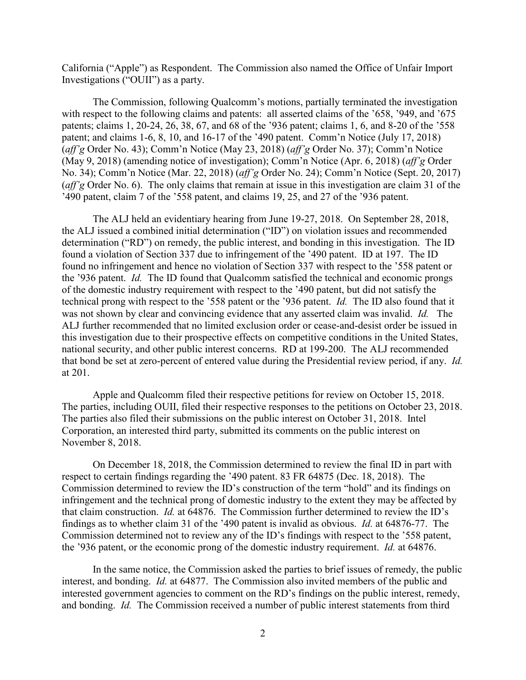California ("Apple") as Respondent. The Commission also named the Office of Unfair Import Investigations ("OUII") as a party.

The Commission, following Qualcomm's motions, partially terminated the investigation with respect to the following claims and patents: all asserted claims of the '658, '949, and '675 patents; claims 1, 20-24, 26, 38, 67, and 68 of the '936 patent; claims 1, 6, and 8-20 of the '558 patent; and claims 1-6, 8, 10, and 16-17 of the '490 patent. Comm'n Notice (July 17, 2018) (*aff'g* Order No. 43); Comm'n Notice (May 23, 2018) (*aff'g* Order No. 37); Comm'n Notice (May 9, 2018) (amending notice of investigation); Comm'n Notice (Apr. 6, 2018) (*aff'g* Order No. 34); Comm'n Notice (Mar. 22, 2018) (*aff'g* Order No. 24); Comm'n Notice (Sept. 20, 2017) (*aff'g* Order No. 6). The only claims that remain at issue in this investigation are claim 31 of the '490 patent, claim 7 of the '558 patent, and claims 19, 25, and 27 of the '936 patent.

The ALJ held an evidentiary hearing from June 19-27, 2018. On September 28, 2018, the ALJ issued a combined initial determination ("ID") on violation issues and recommended determination ("RD") on remedy, the public interest, and bonding in this investigation. The ID found a violation of Section 337 due to infringement of the '490 patent. ID at 197. The ID found no infringement and hence no violation of Section 337 with respect to the '558 patent or the '936 patent. *Id.* The ID found that Qualcomm satisfied the technical and economic prongs of the domestic industry requirement with respect to the '490 patent, but did not satisfy the technical prong with respect to the '558 patent or the '936 patent. *Id.* The ID also found that it was not shown by clear and convincing evidence that any asserted claim was invalid. *Id.* The ALJ further recommended that no limited exclusion order or cease-and-desist order be issued in this investigation due to their prospective effects on competitive conditions in the United States, national security, and other public interest concerns. RD at 199-200. The ALJ recommended that bond be set at zero-percent of entered value during the Presidential review period, if any. *Id.* at 201.

Apple and Qualcomm filed their respective petitions for review on October 15, 2018. The parties, including OUII, filed their respective responses to the petitions on October 23, 2018. The parties also filed their submissions on the public interest on October 31, 2018. Intel Corporation, an interested third party, submitted its comments on the public interest on November 8, 2018.

On December 18, 2018, the Commission determined to review the final ID in part with respect to certain findings regarding the '490 patent. 83 FR 64875 (Dec. 18, 2018). The Commission determined to review the ID's construction of the term "hold" and its findings on infringement and the technical prong of domestic industry to the extent they may be affected by that claim construction. *Id.* at 64876. The Commission further determined to review the ID's findings as to whether claim 31 of the '490 patent is invalid as obvious. *Id.* at 64876-77. The Commission determined not to review any of the ID's findings with respect to the '558 patent, the '936 patent, or the economic prong of the domestic industry requirement. *Id.* at 64876.

In the same notice, the Commission asked the parties to brief issues of remedy, the public interest, and bonding. *Id.* at 64877. The Commission also invited members of the public and interested government agencies to comment on the RD's findings on the public interest, remedy, and bonding. *Id.* The Commission received a number of public interest statements from third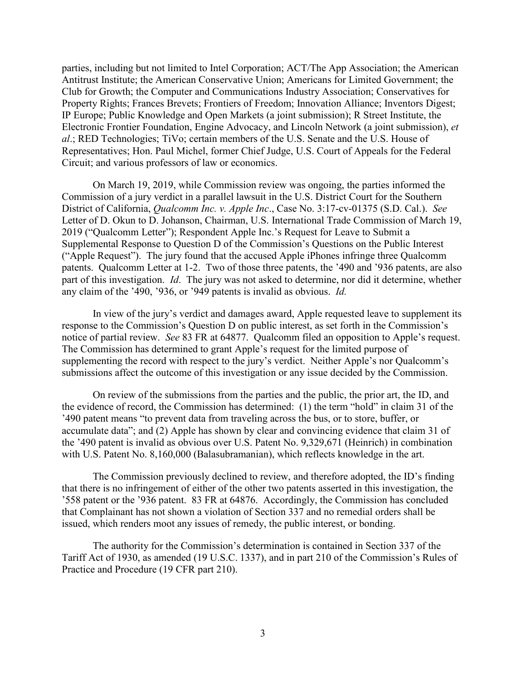parties, including but not limited to Intel Corporation; ACT/The App Association; the American Antitrust Institute; the American Conservative Union; Americans for Limited Government; the Club for Growth; the Computer and Communications Industry Association; Conservatives for Property Rights; Frances Brevets; Frontiers of Freedom; Innovation Alliance; Inventors Digest; IP Europe; Public Knowledge and Open Markets (a joint submission); R Street Institute, the Electronic Frontier Foundation, Engine Advocacy, and Lincoln Network (a joint submission), *et al*.; RED Technologies; TiVo; certain members of the U.S. Senate and the U.S. House of Representatives; Hon. Paul Michel, former Chief Judge, U.S. Court of Appeals for the Federal Circuit; and various professors of law or economics.

On March 19, 2019, while Commission review was ongoing, the parties informed the Commission of a jury verdict in a parallel lawsuit in the U.S. District Court for the Southern District of California, *Qualcomm Inc. v. Apple Inc*., Case No. 3:17-cv-01375 (S.D. Cal.). *See* Letter of D. Okun to D. Johanson, Chairman, U.S. International Trade Commission of March 19, 2019 ("Qualcomm Letter"); Respondent Apple Inc.'s Request for Leave to Submit a Supplemental Response to Question D of the Commission's Questions on the Public Interest ("Apple Request"). The jury found that the accused Apple iPhones infringe three Qualcomm patents. Qualcomm Letter at 1-2. Two of those three patents, the '490 and '936 patents, are also part of this investigation. *Id*. The jury was not asked to determine, nor did it determine, whether any claim of the '490, '936, or '949 patents is invalid as obvious. *Id.*

In view of the jury's verdict and damages award, Apple requested leave to supplement its response to the Commission's Question D on public interest, as set forth in the Commission's notice of partial review. *See* 83 FR at 64877. Qualcomm filed an opposition to Apple's request. The Commission has determined to grant Apple's request for the limited purpose of supplementing the record with respect to the jury's verdict. Neither Apple's nor Qualcomm's submissions affect the outcome of this investigation or any issue decided by the Commission.

On review of the submissions from the parties and the public, the prior art, the ID, and the evidence of record, the Commission has determined: (1) the term "hold" in claim 31 of the '490 patent means "to prevent data from traveling across the bus, or to store, buffer, or accumulate data"; and (2) Apple has shown by clear and convincing evidence that claim 31 of the '490 patent is invalid as obvious over U.S. Patent No. 9,329,671 (Heinrich) in combination with U.S. Patent No. 8,160,000 (Balasubramanian), which reflects knowledge in the art.

The Commission previously declined to review, and therefore adopted, the ID's finding that there is no infringement of either of the other two patents asserted in this investigation, the '558 patent or the '936 patent. 83 FR at 64876. Accordingly, the Commission has concluded that Complainant has not shown a violation of Section 337 and no remedial orders shall be issued, which renders moot any issues of remedy, the public interest, or bonding.

The authority for the Commission's determination is contained in Section 337 of the Tariff Act of 1930, as amended (19 U.S.C. 1337), and in part 210 of the Commission's Rules of Practice and Procedure (19 CFR part 210).